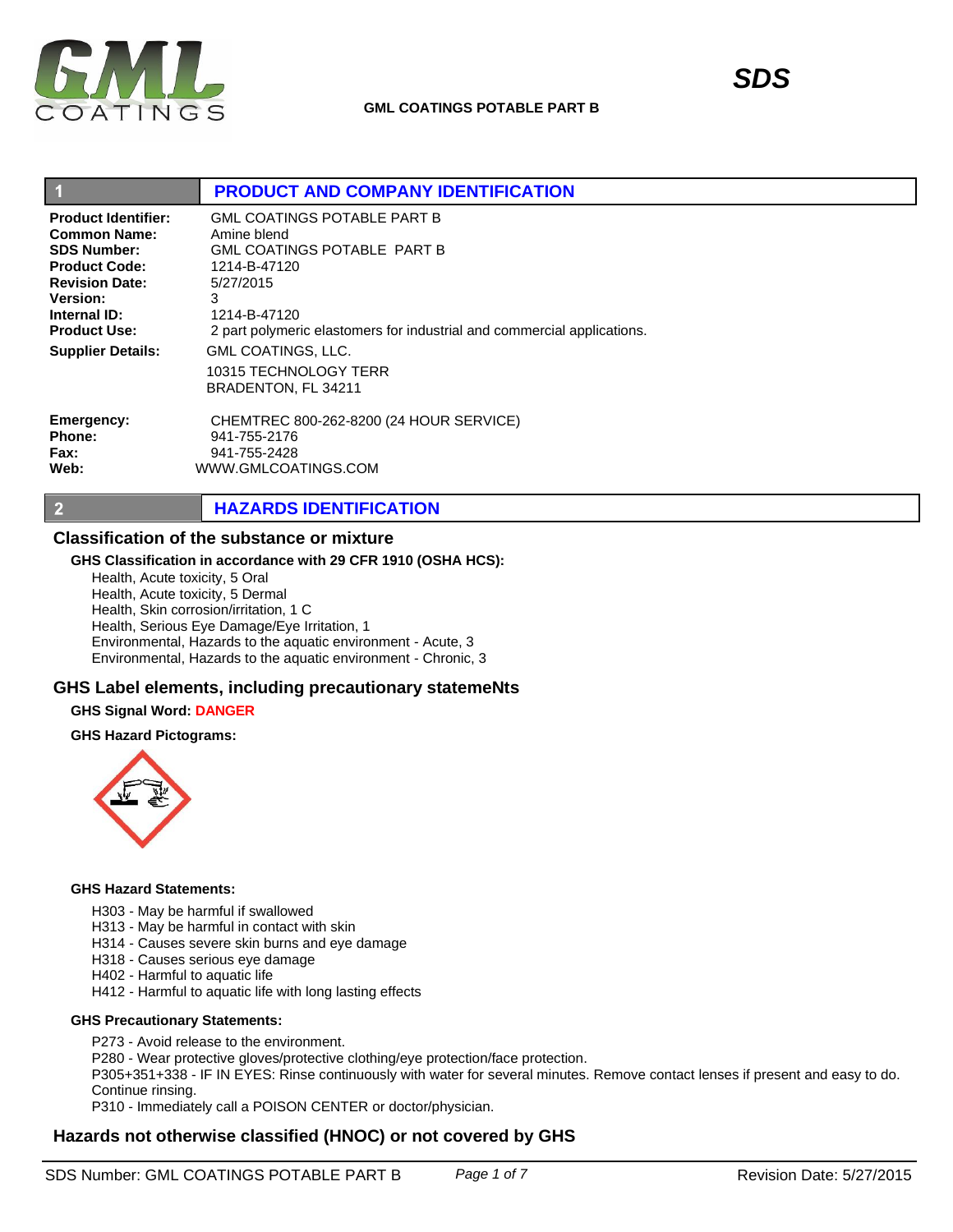

**Web:**

 $\overline{2}$ 

|                            | <b>PRODUCT AND COMPANY IDENTIFICATION</b>                                 |  |
|----------------------------|---------------------------------------------------------------------------|--|
| <b>Product Identifier:</b> | <b>GML COATINGS POTABLE PART B</b>                                        |  |
| Common Name:               | Amine blend                                                               |  |
| <b>SDS Number:</b>         | <b>GML COATINGS POTABLE PART B</b>                                        |  |
| <b>Product Code:</b>       | 1214-B-47120                                                              |  |
| <b>Revision Date:</b>      | 5/27/2015                                                                 |  |
| <b>Version:</b>            | 3                                                                         |  |
| Internal ID:               | 1214-B-47120                                                              |  |
| <b>Product Use:</b>        | 2 part polymeric elastomers for industrial and commercial applications.   |  |
| <b>Supplier Details:</b>   | <b>GML COATINGS, LLC.</b><br>10315 TECHNOLOGY TERR<br>BRADENTON, FL 34211 |  |
| Emergency:                 | CHEMTREC 800-262-8200 (24 HOUR SERVICE)                                   |  |
| <b>Phone:</b>              | 941-755-2176                                                              |  |
| <b>Fax:</b>                | 941-755-2428                                                              |  |

**HAZARDS IDENTIFICATION**

## **Classification of the substance or mixture**

#### **GHS Classification in accordance with 29 CFR 1910 (OSHA HCS):**

WWW.GMLCOATINGS.COM

Health, Acute toxicity, 5 Oral Health, Acute toxicity, 5 Dermal Health, Skin corrosion/irritation, 1 C Health, Serious Eye Damage/Eye Irritation, 1 Environmental, Hazards to the aquatic environment - Acute, 3 Environmental, Hazards to the aquatic environment - Chronic, 3

## **GHS Label elements, including precautionary statemeNts**

#### **GHS Signal Word: DANGER**

#### **GHS Hazard Pictograms:**



#### **GHS Hazard Statements:**

- H303 May be harmful if swallowed
- H313 May be harmful in contact with skin
- H314 Causes severe skin burns and eye damage
- H318 Causes serious eye damage
- H402 Harmful to aquatic life
- H412 Harmful to aquatic life with long lasting effects

### **GHS Precautionary Statements:**

- P273 Avoid release to the environment.
- P280 Wear protective gloves/protective clothing/eye protection/face protection.

P305+351+338 - IF IN EYES: Rinse continuously with water for several minutes. Remove contact lenses if present and easy to do. Continue rinsing.

P310 - Immediately call a POISON CENTER or doctor/physician.

## **Hazards not otherwise classified (HNOC) or not covered by GHS**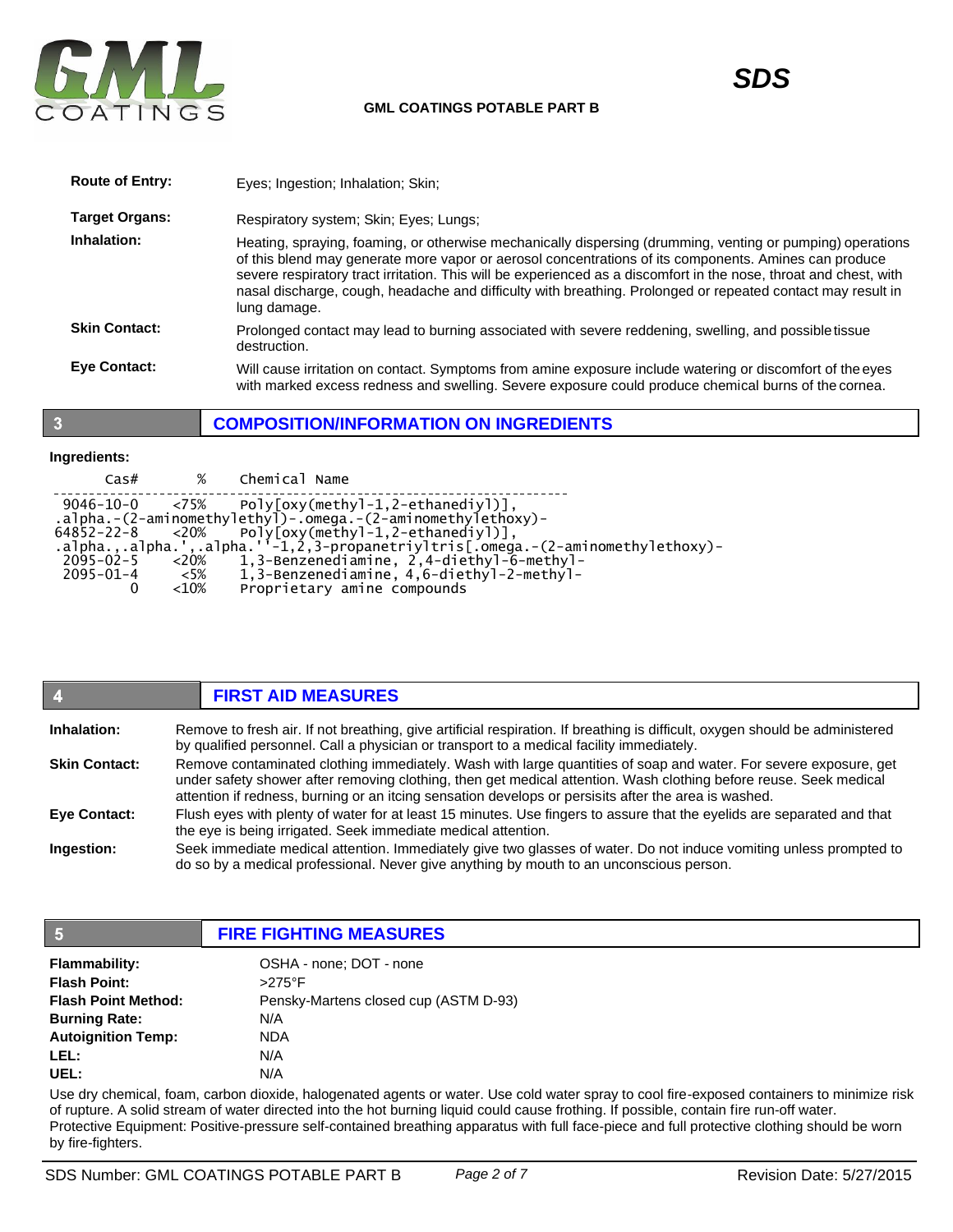

| <b>Route of Entry:</b> | Eyes; Ingestion; Inhalation; Skin;                                                                                                                                                                                                                                                                                                                                                                                                                                      |
|------------------------|-------------------------------------------------------------------------------------------------------------------------------------------------------------------------------------------------------------------------------------------------------------------------------------------------------------------------------------------------------------------------------------------------------------------------------------------------------------------------|
| <b>Target Organs:</b>  | Respiratory system; Skin; Eyes; Lungs;                                                                                                                                                                                                                                                                                                                                                                                                                                  |
| Inhalation:            | Heating, spraying, foaming, or otherwise mechanically dispersing (drumming, venting or pumping) operations<br>of this blend may generate more vapor or aerosol concentrations of its components. Amines can produce<br>severe respiratory tract irritation. This will be experienced as a discomfort in the nose, throat and chest, with<br>nasal discharge, cough, headache and difficulty with breathing. Prolonged or repeated contact may result in<br>lung damage. |
| <b>Skin Contact:</b>   | Prolonged contact may lead to burning associated with severe reddening, swelling, and possible tissue<br>destruction.                                                                                                                                                                                                                                                                                                                                                   |
| <b>Eve Contact:</b>    | Will cause irritation on contact. Symptoms from amine exposure include watering or discomfort of the eyes<br>with marked excess redness and swelling. Severe exposure could produce chemical burns of the cornea.                                                                                                                                                                                                                                                       |

## **COMPOSITION/INFORMATION ON INGREDIENTS**

# **Ingredients:**

 $\overline{\mathbf{3}}$ 

| $\text{Cas}\#$  | %         | Chemical Name                                                                    |
|-----------------|-----------|----------------------------------------------------------------------------------|
|                 |           | $9046 - 10 - 0$ <75% Poly[oxy(methyl-1,2-ethanediyl)],                           |
|                 |           | $a$ ]pha.-(2-aminomethylethyl)-.omega.-(2-aminomethylethoxy)-                    |
|                 |           | $64852 - 22 - 8$ <20% Poly[oxy(methyl-1,2-ethanediyl)],                          |
|                 |           | .alpha.,.alpha.',.alpha.''-1,2,3-propanetriyltris[.omega.-(2-aminomethylethoxy)- |
| 2095-02-5       | ${<}20\%$ | 1,3-Benzenediamine, 2,4-diethyl-6-methyl-                                        |
| $2095 - 01 - 4$ | <5%       | 1,3-Benzenediamine, 4,6-diethyl-2-methyl-                                        |
|                 | $<$ 10%   | Proprietary amine compounds                                                      |
|                 |           |                                                                                  |

|                      | <b>FIRST AID MEASURES</b>                                                                                                                                                                                                                                                                                                                     |
|----------------------|-----------------------------------------------------------------------------------------------------------------------------------------------------------------------------------------------------------------------------------------------------------------------------------------------------------------------------------------------|
| Inhalation:          | Remove to fresh air. If not breathing, give artificial respiration. If breathing is difficult, oxygen should be administered<br>by qualified personnel. Call a physician or transport to a medical facility immediately.                                                                                                                      |
| <b>Skin Contact:</b> | Remove contaminated clothing immediately. Wash with large quantities of soap and water. For severe exposure, get<br>under safety shower after removing clothing, then get medical attention. Wash clothing before reuse. Seek medical<br>attention if redness, burning or an itcing sensation develops or persisits after the area is washed. |
| <b>Eye Contact:</b>  | Flush eyes with plenty of water for at least 15 minutes. Use fingers to assure that the eyelids are separated and that<br>the eye is being irrigated. Seek immediate medical attention.                                                                                                                                                       |
| Ingestion:           | Seek immediate medical attention. Immediately give two glasses of water. Do not induce vomiting unless prompted to<br>do so by a medical professional. Never give anything by mouth to an unconscious person.                                                                                                                                 |

| 15                         | <b>FIRE FIGHTING MEASURES</b>         |
|----------------------------|---------------------------------------|
| <b>Flammability:</b>       | OSHA - none; DOT - none               |
| <b>Flash Point:</b>        | $>275^\circ$ F                        |
| <b>Flash Point Method:</b> | Pensky-Martens closed cup (ASTM D-93) |
| <b>Burning Rate:</b>       | N/A                                   |
| <b>Autoignition Temp:</b>  | <b>NDA</b>                            |
| LEL:                       | N/A                                   |
| UEL:                       | N/A                                   |

Use dry chemical, foam, carbon dioxide, halogenated agents or water. Use cold water spray to cool fire-exposed containers to minimize risk of rupture. A solid stream of water directed into the hot burning liquid could cause frothing. If possible, contain fire run-off water. Protective Equipment: Positive-pressure self-contained breathing apparatus with full face-piece and full protective clothing should be worn by fire-fighters.

*SDS*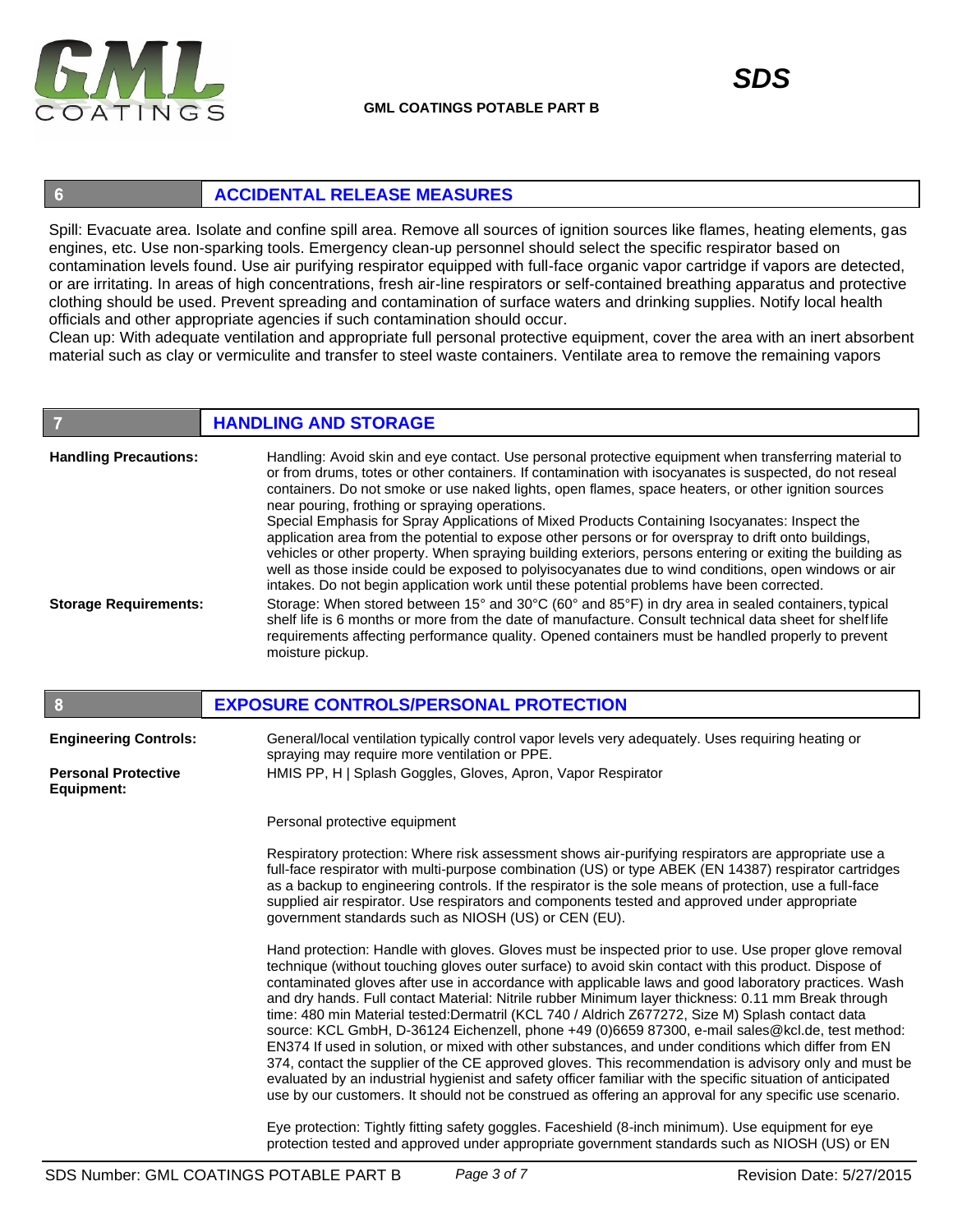

 $6\phantom{1}6$ 

# **ACCIDENTAL RELEASE MEASURES**

Spill: Evacuate area. Isolate and confine spill area. Remove all sources of ignition sources like flames, heating elements, gas engines, etc. Use non-sparking tools. Emergency clean-up personnel should select the specific respirator based on contamination levels found. Use air purifying respirator equipped with full-face organic vapor cartridge if vapors are detected, or are irritating. In areas of high concentrations, fresh air-line respirators or self-contained breathing apparatus and protective clothing should be used. Prevent spreading and contamination of surface waters and drinking supplies. Notify local health officials and other appropriate agencies if such contamination should occur.

Clean up: With adequate ventilation and appropriate full personal protective equipment, cover the area with an inert absorbent material such as clay or vermiculite and transfer to steel waste containers. Ventilate area to remove the remaining vapors

#### **Handling Precautions: Storage Requirements:** Handling: Avoid skin and eye contact. Use personal protective equipment when transferring material to or from drums, totes or other containers. If contamination with isocyanates is suspected, do not reseal containers. Do not smoke or use naked lights, open flames, space heaters, or other ignition sources near pouring, frothing or spraying operations. Special Emphasis for Spray Applications of Mixed Products Containing Isocyanates: Inspect the application area from the potential to expose other persons or for overspray to drift onto buildings, vehicles or other property. When spraying building exteriors, persons entering or exiting the building as well as those inside could be exposed to polyisocyanates due to wind conditions, open windows or air intakes. Do not begin application work until these potential problems have been corrected. Storage: When stored between 15° and 30°C (60° and 85°F) in dry area in sealed containers, typical shelf life is 6 months or more from the date of manufacture. Consult technical data sheet for shelf life requirements affecting performance quality. Opened containers must be handled properly to prevent moisture pickup. **HANDLING AND STORAGE**

| 8                                        | <b>EXPOSURE CONTROLS/PERSONAL PROTECTION</b>                                                                                                                                                                                                                                                                                                                                                                                                                                                                                                                                                                                                                                                                                                                                                                                                                                                                                                                                                                                                                                   |
|------------------------------------------|--------------------------------------------------------------------------------------------------------------------------------------------------------------------------------------------------------------------------------------------------------------------------------------------------------------------------------------------------------------------------------------------------------------------------------------------------------------------------------------------------------------------------------------------------------------------------------------------------------------------------------------------------------------------------------------------------------------------------------------------------------------------------------------------------------------------------------------------------------------------------------------------------------------------------------------------------------------------------------------------------------------------------------------------------------------------------------|
| <b>Engineering Controls:</b>             | General/local ventilation typically control vapor levels very adequately. Uses requiring heating or<br>spraying may require more ventilation or PPE.                                                                                                                                                                                                                                                                                                                                                                                                                                                                                                                                                                                                                                                                                                                                                                                                                                                                                                                           |
| <b>Personal Protective</b><br>Equipment: | HMIS PP, H   Splash Goggles, Gloves, Apron, Vapor Respirator                                                                                                                                                                                                                                                                                                                                                                                                                                                                                                                                                                                                                                                                                                                                                                                                                                                                                                                                                                                                                   |
|                                          | Personal protective equipment                                                                                                                                                                                                                                                                                                                                                                                                                                                                                                                                                                                                                                                                                                                                                                                                                                                                                                                                                                                                                                                  |
|                                          | Respiratory protection: Where risk assessment shows air-purifying respirators are appropriate use a<br>full-face respirator with multi-purpose combination (US) or type ABEK (EN 14387) respirator cartridges<br>as a backup to engineering controls. If the respirator is the sole means of protection, use a full-face<br>supplied air respirator. Use respirators and components tested and approved under appropriate<br>government standards such as NIOSH (US) or CEN (EU).                                                                                                                                                                                                                                                                                                                                                                                                                                                                                                                                                                                              |
|                                          | Hand protection: Handle with gloves. Gloves must be inspected prior to use. Use proper glove removal<br>technique (without touching gloves outer surface) to avoid skin contact with this product. Dispose of<br>contaminated gloves after use in accordance with applicable laws and good laboratory practices. Wash<br>and dry hands. Full contact Material: Nitrile rubber Minimum layer thickness: 0.11 mm Break through<br>time: 480 min Material tested:Dermatril (KCL 740 / Aldrich Z677272, Size M) Splash contact data<br>source: KCL GmbH, D-36124 Eichenzell, phone +49 (0)6659 87300, e-mail sales@kcl.de, test method:<br>EN374 If used in solution, or mixed with other substances, and under conditions which differ from EN<br>374, contact the supplier of the CE approved gloves. This recommendation is advisory only and must be<br>evaluated by an industrial hygienist and safety officer familiar with the specific situation of anticipated<br>use by our customers. It should not be construed as offering an approval for any specific use scenario. |
|                                          | Eye protection: Tightly fitting safety goggles. Faceshield (8-inch minimum). Use equipment for eye                                                                                                                                                                                                                                                                                                                                                                                                                                                                                                                                                                                                                                                                                                                                                                                                                                                                                                                                                                             |

protection tested and approved under appropriate government standards such as NIOSH (US) or EN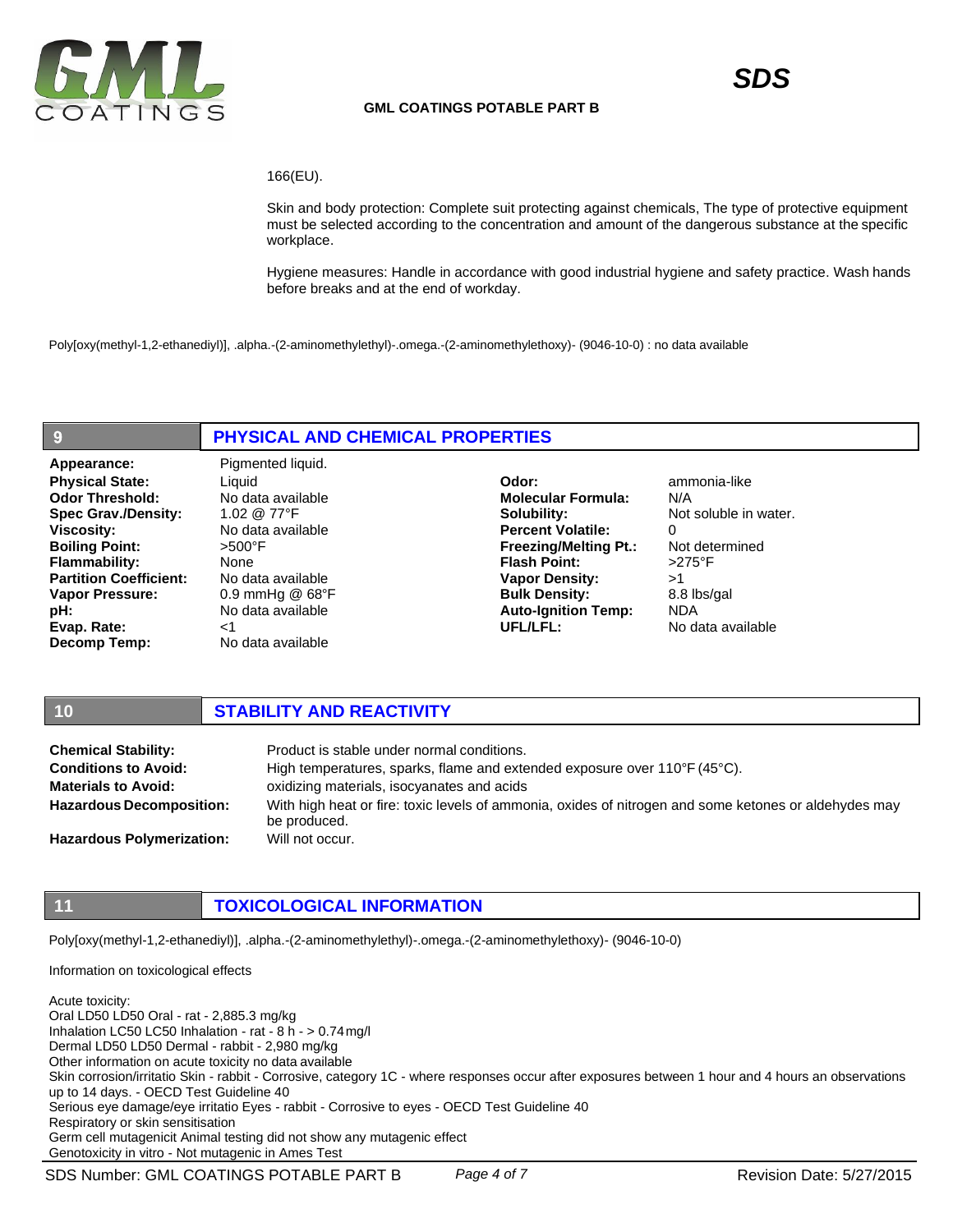

#### 166(EU).

Skin and body protection: Complete suit protecting against chemicals, The type of protective equipment must be selected according to the concentration and amount of the dangerous substance at the specific workplace.

Hygiene measures: Handle in accordance with good industrial hygiene and safety practice. Wash hands before breaks and at the end of workday.

Poly[oxy(methyl-1,2-ethanediyl)], .alpha.-(2-aminomethylethyl)-.omega.-(2-aminomethylethoxy)- (9046-10-0) : no data available

## **PHYSICAL AND CHEMICAL PROPERTIES**

Appearance: Pigmented liquid. **Physical State: Odor Threshold: Spec Grav./Density: Viscosity: Boiling Point: Flammability: Partition Coefficient: Vapor Pressure: pH: Evap. Rate: Decomp Temp:**

 $\overline{9}$ 

Liquid No data available 1.02 @ 77°F No data available >500°F None No data available 0.9 mmHg @ 68°F No data available  $<$ 1 No data available

**Odor: Molecular Formula: Solubility: Percent Volatile: Freezing/Melting Pt.: Flash Point: Vapor Density: Bulk Density: Auto-Ignition Temp: UFL/LFL:**

ammonia-like N/A Not soluble in water.  $\Omega$ Not determined >275°F >1 8.8 lbs/gal NDA No data available

## **10 STABILITY AND REACTIVITY**

| <b>Chemical Stability:</b>       | Product is stable under normal conditions.                                                                            |
|----------------------------------|-----------------------------------------------------------------------------------------------------------------------|
| <b>Conditions to Avoid:</b>      | High temperatures, sparks, flame and extended exposure over $110^{\circ}F(45^{\circ}C)$ .                             |
| <b>Materials to Avoid:</b>       | oxidizing materials, isocyanates and acids                                                                            |
| <b>Hazardous Decomposition:</b>  | With high heat or fire: toxic levels of ammonia, oxides of nitrogen and some ketones or aldehydes may<br>be produced. |
| <b>Hazardous Polymerization:</b> | Will not occur.                                                                                                       |

## **11 TOXICOLOGICAL INFORMATION**

Poly[oxy(methyl-1,2-ethanediyl)], .alpha.-(2-aminomethylethyl)-.omega.-(2-aminomethylethoxy)- (9046-10-0)

Information on toxicological effects

Acute toxicity: Oral LD50 LD50 Oral - rat - 2,885.3 mg/kg Inhalation LC50 LC50 Inhalation - rat - 8 h - > 0.74mg/l Dermal LD50 LD50 Dermal - rabbit - 2,980 mg/kg Other information on acute toxicity no data available Skin corrosion/irritatio Skin - rabbit - Corrosive, category 1C - where responses occur after exposures between 1 hour and 4 hours an observations up to 14 days. - OECD Test Guideline 40 Serious eye damage/eye irritatio Eyes - rabbit - Corrosive to eyes - OECD Test Guideline 40 Respiratory or skin sensitisation Germ cell mutagenicit Animal testing did not show any mutagenic effect Genotoxicity in vitro - Not mutagenic in Ames Test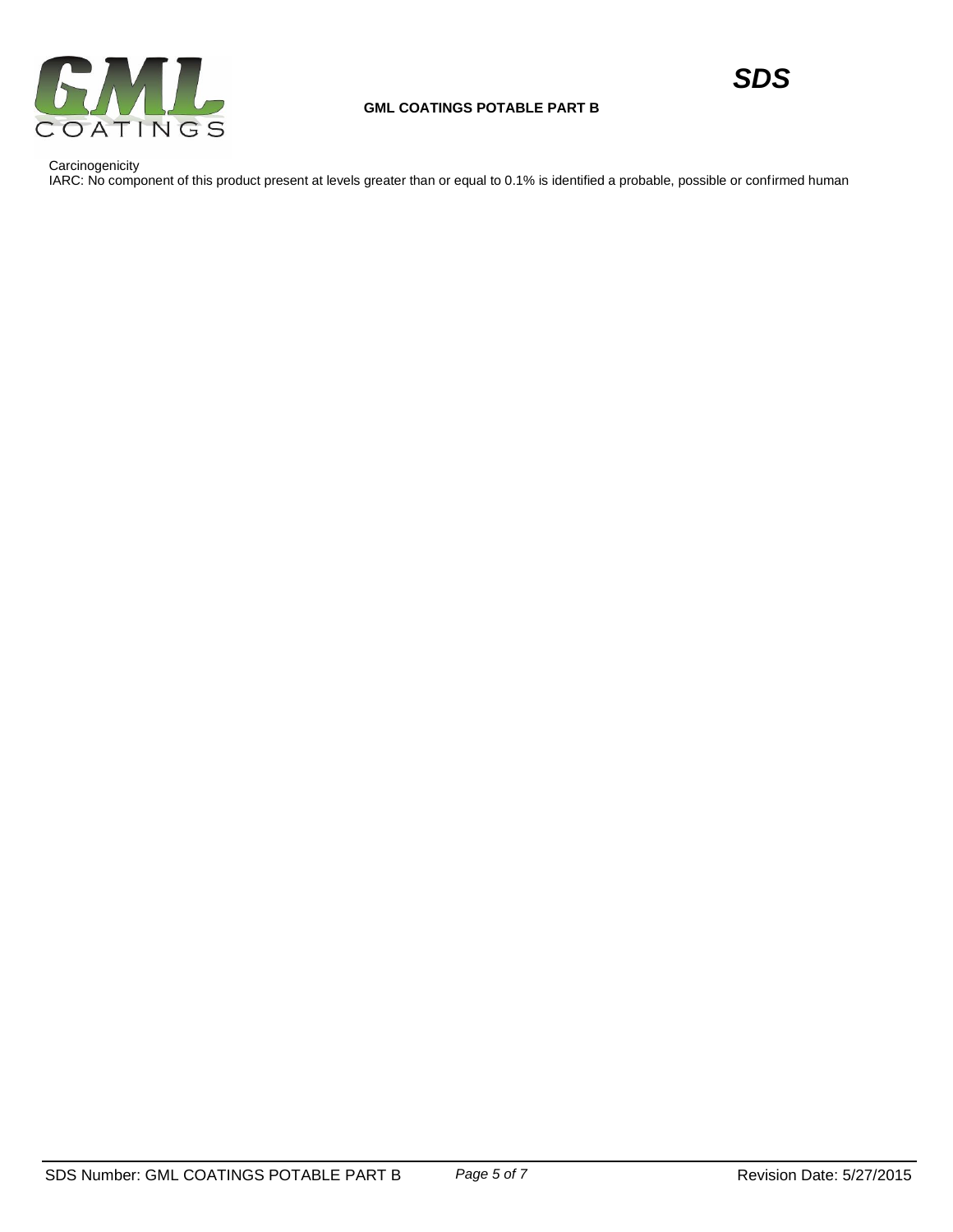

**Carcinogenicity** 

IARC: No component of this product present at levels greater than or equal to 0.1% is identified a probable, possible or confirmed human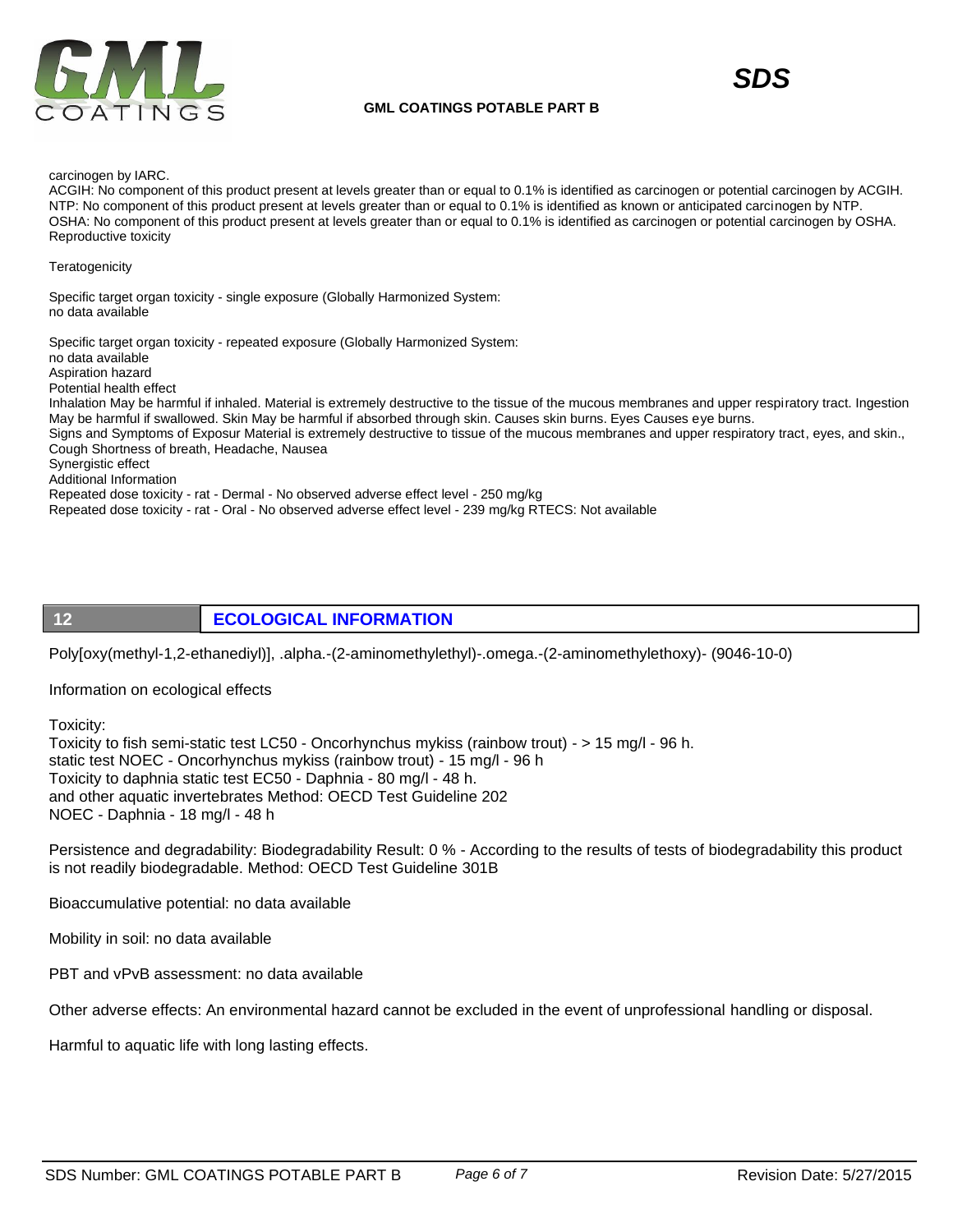

#### carcinogen by IARC.

ACGIH: No component of this product present at levels greater than or equal to 0.1% is identified as carcinogen or potential carcinogen by ACGIH. NTP: No component of this product present at levels greater than or equal to 0.1% is identified as known or anticipated carcinogen by NTP. OSHA: No component of this product present at levels greater than or equal to 0.1% is identified as carcinogen or potential carcinogen by OSHA. Reproductive toxicity

#### **Teratogenicity**

Specific target organ toxicity - single exposure (Globally Harmonized System: no data available

Specific target organ toxicity - repeated exposure (Globally Harmonized System: no data available Aspiration hazard Potential health effect Inhalation May be harmful if inhaled. Material is extremely destructive to the tissue of the mucous membranes and upper respiratory tract. Ingestion May be harmful if swallowed. Skin May be harmful if absorbed through skin. Causes skin burns. Eyes Causes eye burns. Signs and Symptoms of Exposur Material is extremely destructive to tissue of the mucous membranes and upper respiratory tract, eyes, and skin., Cough Shortness of breath, Headache, Nausea Synergistic effect Additional Information Repeated dose toxicity - rat - Dermal - No observed adverse effect level - 250 mg/kg Repeated dose toxicity - rat - Oral - No observed adverse effect level - 239 mg/kg RTECS: Not available

# **12 ECOLOGICAL INFORMATION**

Poly[oxy(methyl-1,2-ethanediyl)], .alpha.-(2-aminomethylethyl)-.omega.-(2-aminomethylethoxy)- (9046-10-0)

Information on ecological effects

Toxicity:

Toxicity to fish semi-static test LC50 - Oncorhynchus mykiss (rainbow trout) - > 15 mg/l - 96 h. static test NOEC - Oncorhynchus mykiss (rainbow trout) - 15 mg/l - 96 h Toxicity to daphnia static test EC50 - Daphnia - 80 mg/l - 48 h. and other aquatic invertebrates Method: OECD Test Guideline 202 NOEC - Daphnia - 18 mg/l - 48 h

Persistence and degradability: Biodegradability Result: 0 % - According to the results of tests of biodegradability this product is not readily biodegradable. Method: OECD Test Guideline 301B

Bioaccumulative potential: no data available

Mobility in soil: no data available

PBT and vPvB assessment: no data available

Other adverse effects: An environmental hazard cannot be excluded in the event of unprofessional handling or disposal.

Harmful to aquatic life with long lasting effects.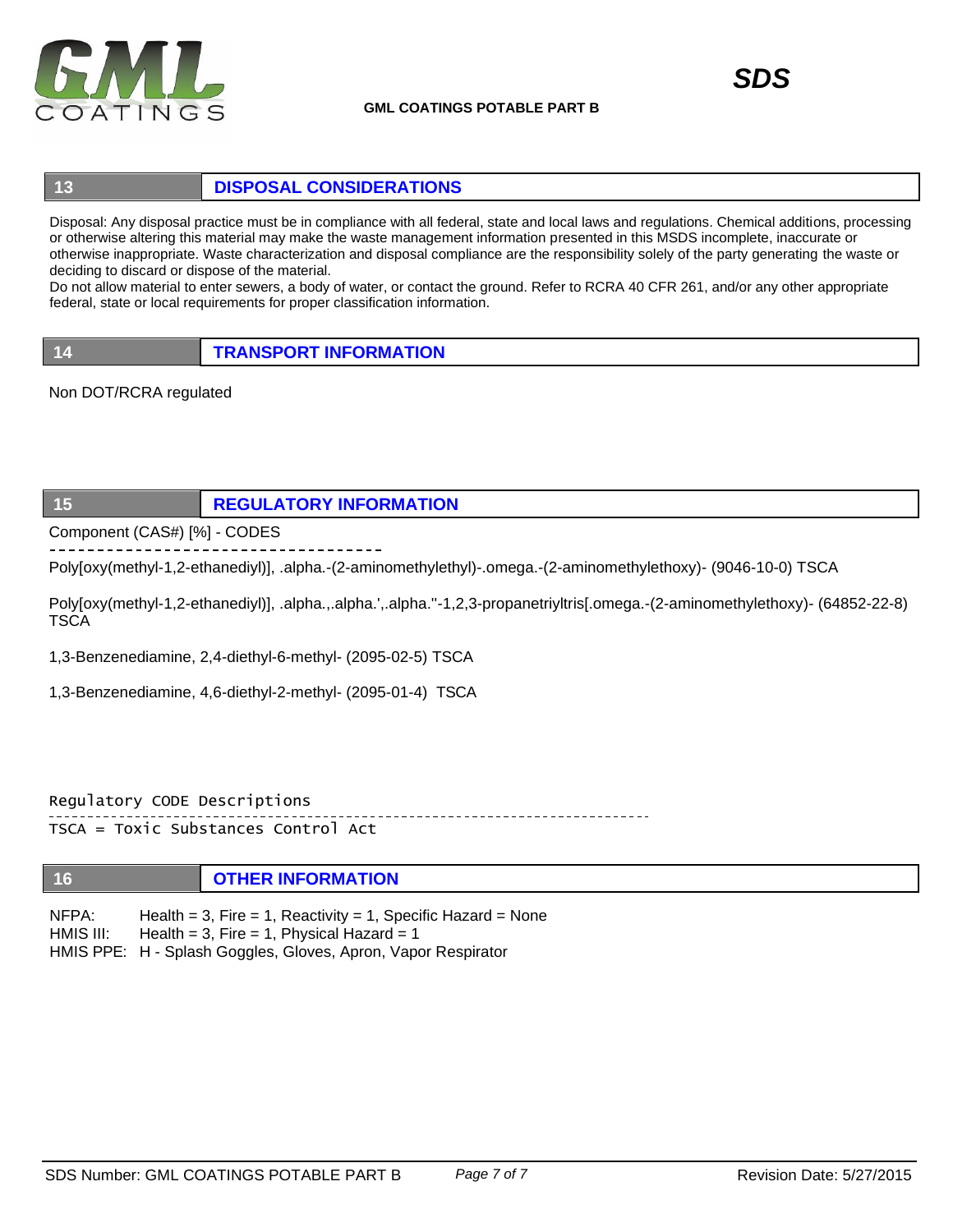

# **13 DISPOSAL CONSIDERATIONS**

Disposal: Any disposal practice must be in compliance with all federal, state and local laws and regulations. Chemical additions, processing or otherwise altering this material may make the waste management information presented in this MSDS incomplete, inaccurate or otherwise inappropriate. Waste characterization and disposal compliance are the responsibility solely of the party generating the waste or deciding to discard or dispose of the material.

Do not allow material to enter sewers, a body of water, or contact the ground. Refer to RCRA 40 CFR 261, and/or any other appropriate federal, state or local requirements for proper classification information.

**14 TRANSPORT INFORMATION**

Non DOT/RCRA regulated

## **15 REGULATORY INFORMATION**

Component (CAS#) [%] - CODES

Poly[oxy(methyl-1,2-ethanediyl)], .alpha.-(2-aminomethylethyl)-.omega.-(2-aminomethylethoxy)- (9046-10-0) TSCA

Poly[oxy(methyl-1,2-ethanediyl)], .alpha.,.alpha.',.alpha.''-1,2,3-propanetriyltris[.omega.-(2-aminomethylethoxy)- (64852-22-8) **TSCA** 

1,3-Benzenediamine, 2,4-diethyl-6-methyl- (2095-02-5) TSCA

1,3-Benzenediamine, 4,6-diethyl-2-methyl- (2095-01-4) TSCA

Regulatory CODE Descriptions TSCA = Toxic Substances Control Act

# **16 OTHER INFORMATION**

NFPA: HMIS III: HMIS PPE: H - Splash Goggles, Gloves, Apron, Vapor Respirator Health =  $3$ , Fire =  $1$ , Reactivity =  $1$ , Specific Hazard = None Health = 3, Fire = 1, Physical Hazard =  $1$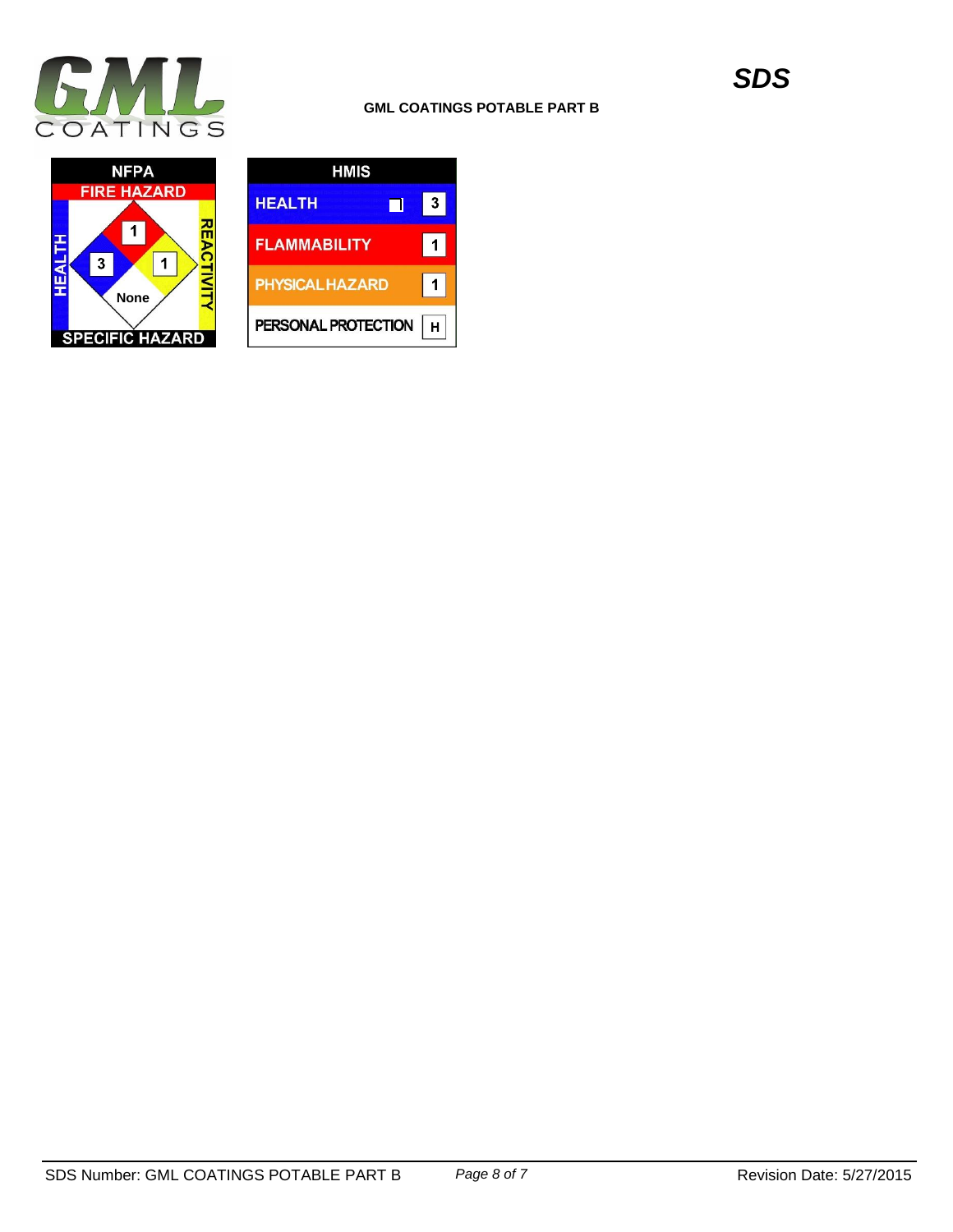



| HMIS                   |   |
|------------------------|---|
| <b>HEALTH</b>          | 3 |
| <b>FLAMMABILITY</b>    |   |
| <b>PHYSICAL HAZARD</b> |   |
| PERSONAL PROTECTION    |   |